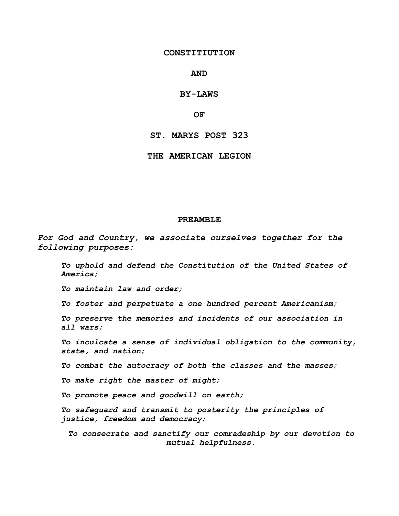#### **CONSTITIUTION**

#### **AND**

### **BY-LAWS**

#### **OF**

#### **ST. MARYS POST 323**

#### **THE AMERICAN LEGION**

#### **PREAMBLE**

*For God and Country, we associate ourselves together for the following purposes:*

*To uphold and defend the Constitution of the United States of America;*

*To maintain law and order;*

*To foster and perpetuate a one hundred percent Americanism;*

*To preserve the memories and incidents of our association in all wars;*

*To inculcate a sense of individual obligation to the community, state, and nation;*

*To combat the autocracy of both the classes and the masses;*

*To make right the master of might;*

*To promote peace and goodwill on earth;*

*To safeguard and transmit to posterity the principles of justice, freedom and democracy;*

*To consecrate and sanctify our comradeship by our devotion to mutual helpfulness.*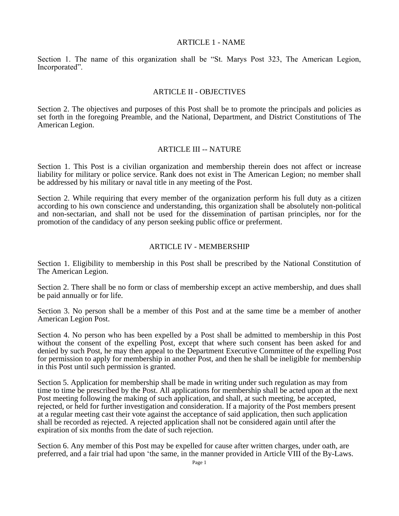#### ARTICLE 1 - NAME

Section 1. The name of this organization shall be "St. Marys Post 323, The American Legion, Incorporated".

## ARTICLE II - OBJECTIVES

Section 2. The objectives and purposes of this Post shall be to promote the principals and policies as set forth in the foregoing Preamble, and the National, Department, and District Constitutions of The American Legion.

### ARTICLE III -- NATURE

Section 1. This Post is a civilian organization and membership therein does not affect or increase liability for military or police service. Rank does not exist in The American Legion; no member shall be addressed by his military or naval title in any meeting of the Post.

Section 2. While requiring that every member of the organization perform his full duty as a citizen according to his own conscience and understanding, this organization shall be absolutely non-political and non-sectarian, and shall not be used for the dissemination of partisan principles, nor for the promotion of the candidacy of any person seeking public office or preferment.

## ARTICLE IV - MEMBERSHIP

Section 1. Eligibility to membership in this Post shall be prescribed by the National Constitution of The American Legion.

Section 2. There shall be no form or class of membership except an active membership, and dues shall be paid annually or for life.

Section 3. No person shall be a member of this Post and at the same time be a member of another American Legion Post.

Section 4. No person who has been expelled by a Post shall be admitted to membership in this Post without the consent of the expelling Post, except that where such consent has been asked for and denied by such Post, he may then appeal to the Department Executive Committee of the expelling Post for permission to apply for membership in another Post, and then he shall be ineligible for membership in this Post until such permission is granted.

Section 5. Application for membership shall be made in writing under such regulation as may from time to time be prescribed by the Post. All applications for membership shall be acted upon at the next Post meeting following the making of such application, and shall, at such meeting, be accepted, rejected, or held for further investigation and consideration. If a majority of the Post members present at a regular meeting cast their vote against the acceptance of said application, then such application shall be recorded as rejected. A rejected application shall not be considered again until after the expiration of six months from the date of such rejection.

Section 6. Any member of this Post may be expelled for cause after written charges, under oath, are preferred, and a fair trial had upon 'the same, in the manner provided in Article VIII of the By-Laws.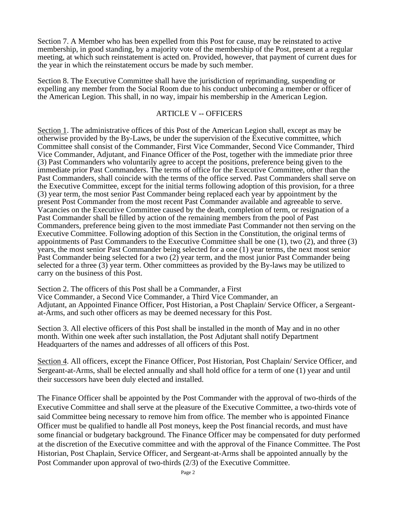Section 7. A Member who has been expelled from this Post for cause, may be reinstated to active membership, in good standing, by a majority vote of the membership of the Post, present at a regular meeting, at which such reinstatement is acted on. Provided, however, that payment of current dues for the year in which the reinstatement occurs be made by such member.

Section 8. The Executive Committee shall have the jurisdiction of reprimanding, suspending or expelling any member from the Social Room due to his conduct unbecoming a member or officer of the American Legion. This shall, in no way, impair his membership in the American Legion.

# ARTICLE V -- OFFICERS

Section 1. The administrative offices of this Post of the American Legion shall, except as may be otherwise provided by the By-Laws, be under the supervision of the Executive committee, which Committee shall consist of the Commander, First Vice Commander, Second Vice Commander, Third Vice Commander, Adjutant, and Finance Officer of the Post, together with the immediate prior three (3) Past Commanders who voluntarily agree to accept the positions, preference being given to the immediate prior Past Commanders. The terms of office for the Executive Committee, other than the Past Commanders, shall coincide with the terms of the office served. Past Commanders shall serve on the Executive Committee, except for the initial terms following adoption of this provision, for a three (3) year term, the most senior Past Commander being replaced each year by appointment by the present Post Commander from the most recent Past Commander available and agreeable to serve. Vacancies on the Executive Committee caused by the death, completion of term, or resignation of a Past Commander shall be filled by action of the remaining members from the pool of Past Commanders, preference being given to the most immediate Past Commander not then serving on the Executive Committee. Following adoption of this Section in the Constitution, the original terms of appointments of Past Commanders to the Executive Committee shall be one (1), two (2), and three (3) years, the most senior Past Commander being selected for a one (1) year terms, the next most senior Past Commander being selected for a two (2) year term, and the most junior Past Commander being selected for a three (3) year term. Other committees as provided by the By-laws may be utilized to carry on the business of this Post.

Section 2. The officers of this Post shall be a Commander, a First

Vice Commander, a Second Vice Commander, a Third Vice Commander, an Adjutant, an Appointed Finance Officer, Post Historian, a Post Chaplain/ Service Officer, a Sergeantat-Arms, and such other officers as may be deemed necessary for this Post.

Section 3. All elective officers of this Post shall be installed in the month of May and in no other month. Within one week after such installation, the Post Adjutant shall notify Department Headquarters of the names and addresses of all officers of this Post.

Section 4. All officers, except the Finance Officer, Post Historian, Post Chaplain/ Service Officer, and Sergeant-at-Arms, shall be elected annually and shall hold office for a term of one (1) year and until their successors have been duly elected and installed.

The Finance Officer shall be appointed by the Post Commander with the approval of two-thirds of the Executive Committee and shall serve at the pleasure of the Executive Committee, a two-thirds vote of said Committee being necessary to remove him from office. The member who is appointed Finance Officer must be qualified to handle all Post moneys, keep the Post financial records, and must have some financial or budgetary background. The Finance Officer may be compensated for duty performed at the discretion of the Executive committee and with the approval of the Finance Committee. The Post Historian, Post Chaplain, Service Officer, and Sergeant-at-Arms shall be appointed annually by the Post Commander upon approval of two-thirds (2/3) of the Executive Committee.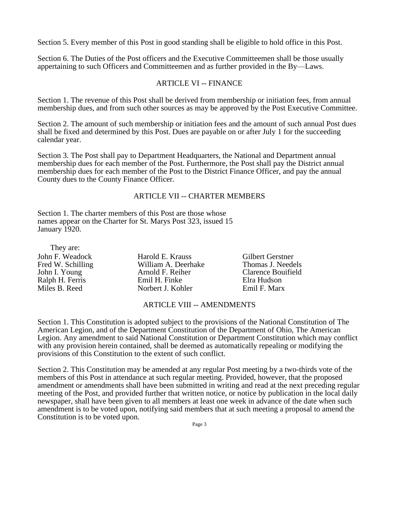Section 5. Every member of this Post in good standing shall be eligible to hold office in this Post.

Section 6. The Duties of the Post officers and the Executive Committeemen shall be those usually appertaining to such Officers and Committeemen and as further provided in the By—Laws.

## ARTICLE VI -- FINANCE

Section 1. The revenue of this Post shall be derived from membership or initiation fees, from annual membership dues, and from such other sources as may be approved by the Post Executive Committee.

Section 2. The amount of such membership or initiation fees and the amount of such annual Post dues shall be fixed and determined by this Post. Dues are payable on or after July 1 for the succeeding calendar year.

Section 3. The Post shall pay to Department Headquarters, the National and Department annual membership dues for each member of the Post. Furthermore, the Post shall pay the District annual membership dues for each member of the Post to the District Finance Officer, and pay the annual County dues to the County Finance Officer.

### ARTICLE VII -- CHARTER MEMBERS

Section 1. The charter members of this Post are those whose names appear on the Charter for St. Marys Post 323, issued 15 January 1920.

| They are:         |                     |                         |
|-------------------|---------------------|-------------------------|
| John F. Weadock   | Harold E. Krauss    | <b>Gilbert Gerstner</b> |
| Fred W. Schilling | William A. Deerhake | Thomas J. Needels       |
| John I. Young     | Arnold F. Reiher    | Clarence Bouifield      |
| Ralph H. Ferris   | Emil H. Finke       | Elra Hudson             |
| Miles B. Reed     | Norbert J. Kohler   | Emil F. Marx            |

### ARTICLE VIII -- AMENDMENTS

Section 1. This Constitution is adopted subject to the provisions of the National Constitution of The American Legion, and of the Department Constitution of the Department of Ohio, The American Legion. Any amendment to said National Constitution or Department Constitution which may conflict with any provision herein contained, shall be deemed as automatically repealing or modifying the provisions of this Constitution to the extent of such conflict.

Section 2. This Constitution may be amended at any regular Post meeting by a two-thirds vote of the members of this Post in attendance at such regular meeting. Provided, however, that the proposed amendment or amendments shall have been submitted in writing and read at the next preceding regular meeting of the Post, and provided further that written notice, or notice by publication in the local daily newspaper, shall have been given to all members at least one week in advance of the date when such amendment is to be voted upon, notifying said members that at such meeting a proposal to amend the Constitution is to be voted upon.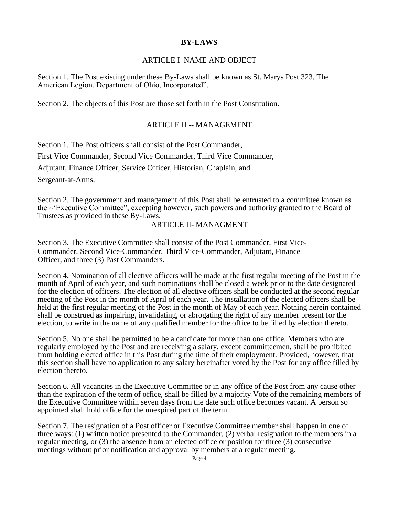# **BY-LAWS**

## ARTICLE I NAME AND OBJECT

Section 1. The Post existing under these By-Laws shall be known as St. Marys Post 323, The American Legion, Department of Ohio, Incorporated".

Section 2. The objects of this Post are those set forth in the Post Constitution.

# ARTICLE II -- MANAGEMENT

Section 1. The Post officers shall consist of the Post Commander,

First Vice Commander, Second Vice Commander, Third Vice Commander,

Adjutant, Finance Officer, Service Officer, Historian, Chaplain, and

Sergeant-at-Arms.

Section 2. The government and management of this Post shall be entrusted to a committee known as the ~'Executive Committee", excepting however, such powers and authority granted to the Board of Trustees as provided in these By-Laws.

### ARTICLE II- MANAGMENT

Section 3. The Executive Committee shall consist of the Post Commander, First Vice-Commander, Second Vice-Commander, Third Vice-Commander, Adjutant, Finance Officer, and three (3) Past Commanders.

Section 4. Nomination of all elective officers will be made at the first regular meeting of the Post in the month of April of each year, and such nominations shall be closed a week prior to the date designated for the election of officers. The election of all elective officers shall be conducted at the second regular meeting of the Post in the month of April of each year. The installation of the elected officers shall be held at the first regular meeting of the Post in the month of May of each year. Nothing herein contained shall be construed as impairing, invalidating, or abrogating the right of any member present for the election, to write in the name of any qualified member for the office to be filled by election thereto.

Section 5. No one shall be permitted to be a candidate for more than one office. Members who are regularly employed by the Post and are receiving a salary, except committeemen, shall be prohibited from holding elected office in this Post during the time of their employment. Provided, however, that this section shall have no application to any salary hereinafter voted by the Post for any office filled by election thereto.

Section 6. All vacancies in the Executive Committee or in any office of the Post from any cause other than the expiration of the term of office, shall be filled by a majority Vote of the remaining members of the Executive Committee within seven days from the date such office becomes vacant. A person so appointed shall hold office for the unexpired part of the term.

Section 7. The resignation of a Post officer or Executive Committee member shall happen in one of three ways: (1) written notice presented to the Commander, (2) verbal resignation to the members in a regular meeting, or (3) the absence from an elected office or position for three (3) consecutive meetings without prior notification and approval by members at a regular meeting.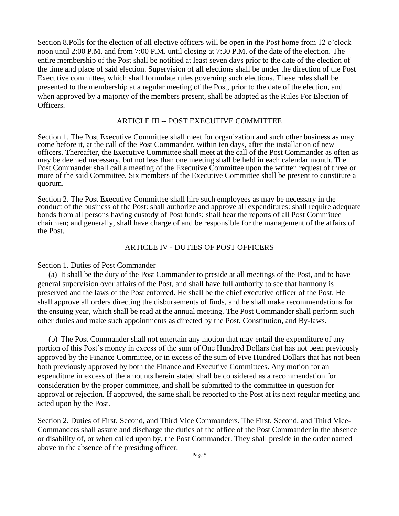Section 8.Polls for the election of all elective officers will be open in the Post home from 12 o'clock noon until 2:00 P.M. and from 7:00 P.M. until closing at 7:30 P.M. of the date of the election. The entire membership of the Post shall be notified at least seven days prior to the date of the election of the time and place of said election. Supervision of all elections shall be under the direction of the Post Executive committee, which shall formulate rules governing such elections. These rules shall be presented to the membership at a regular meeting of the Post, prior to the date of the election, and when approved by a majority of the members present, shall be adopted as the Rules For Election of Officers.

#### ARTICLE III -- POST EXECUTIVE COMMITTEE

Section 1. The Post Executive Committee shall meet for organization and such other business as may come before it, at the call of the Post Commander, within ten days, after the installation of new officers. Thereafter, the Executive Committee shall meet at the call of the Post Commander as often as may be deemed necessary, but not less than one meeting shall be held in each calendar month. The Post Commander shall call a meeting of the Executive Committee upon the written request of three or more of the said Committee. Six members of the Executive Committee shall be present to constitute a quorum.

Section 2. The Post Executive Committee shall hire such employees as may be necessary in the conduct of the business of the Post: shall authorize and approve all expenditures: shall require adequate bonds from all persons having custody of Post funds; shall hear the reports of all Post Committee chairmen; and generally, shall have charge of and be responsible for the management of the affairs of the Post.

## ARTICLE IV - DUTIES OF POST OFFICERS

#### Section 1. Duties of Post Commander

(a) It shall be the duty of the Post Commander to preside at all meetings of the Post, and to have general supervision over affairs of the Post, and shall have full authority to see that harmony is preserved and the laws of the Post enforced. He shall be the chief executive officer of the Post. He shall approve all orders directing the disbursements of finds, and he shall make recommendations for the ensuing year, which shall be read at the annual meeting. The Post Commander shall perform such other duties and make such appointments as directed by the Post, Constitution, and By-laws.

(b) The Post Commander shall not entertain any motion that may entail the expenditure of any portion of this Post's money in excess of the sum of One Hundred Dollars that has not been previously approved by the Finance Committee, or in excess of the sum of Five Hundred Dollars that has not been both previously approved by both the Finance and Executive Committees. Any motion for an expenditure in excess of the amounts herein stated shall be considered as a recommendation for consideration by the proper committee, and shall be submitted to the committee in question for approval or rejection. If approved, the same shall be reported to the Post at its next regular meeting and acted upon by the Post.

Section 2. Duties of First, Second, and Third Vice Commanders. The First, Second, and Third Vice-Commanders shall assure and discharge the duties of the office of the Post Commander in the absence or disability of, or when called upon by, the Post Commander. They shall preside in the order named above in the absence of the presiding officer.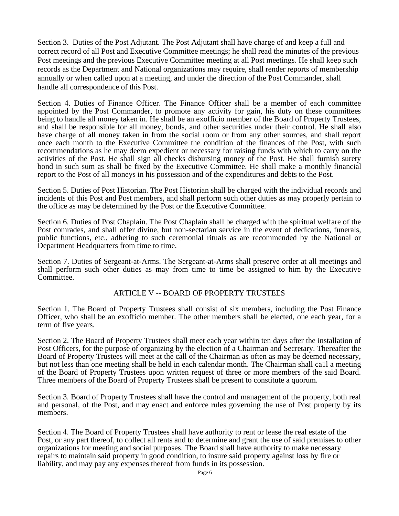Section 3. Duties of the Post Adjutant. The Post Adjutant shall have charge of and keep a full and correct record of all Post and Executive Committee meetings; he shall read the minutes of the previous Post meetings and the previous Executive Committee meeting at all Post meetings. He shall keep such records as the Department and National organizations may require, shall render reports of membership annually or when called upon at a meeting, and under the direction of the Post Commander, shall handle all correspondence of this Post.

Section 4. Duties of Finance Officer. The Finance Officer shall be a member of each committee appointed by the Post Commander, to promote any activity for gain, his duty on these committees being to handle all money taken in. He shall be an exofficio member of the Board of Property Trustees, and shall be responsible for all money, bonds, and other securities under their control. He shall also have charge of all money taken in from the social room or from any other sources, and shall report once each month to the Executive Committee the condition of the finances of the Post, with such recommendations as he may deem expedient or necessary for raising funds with which to carry on the activities of the Post. He shall sign all checks disbursing money of the Post. He shall furnish surety bond in such sum as shall be fixed by the Executive Committee. He shall make a monthly financial report to the Post of all moneys in his possession and of the expenditures and debts to the Post.

Section 5. Duties of Post Historian. The Post Historian shall be charged with the individual records and incidents of this Post and Post members, and shall perform such other duties as may properly pertain to the office as may be determined by the Post or the Executive Committee.

Section 6. Duties of Post Chaplain. The Post Chaplain shall be charged with the spiritual welfare of the Post comrades, and shall offer divine, but non-sectarian service in the event of dedications, funerals, public functions, etc., adhering to such ceremonial rituals as are recommended by the National or Department Headquarters from time to time.

Section 7. Duties of Sergeant-at-Arms. The Sergeant-at-Arms shall preserve order at all meetings and shall perform such other duties as may from time to time be assigned to him by the Executive Committee.

### ARTICLE V -- BOARD OF PROPERTY TRUSTEES

Section 1. The Board of Property Trustees shall consist of six members, including the Post Finance Officer, who shall be an exofficio member. The other members shall be elected, one each year, for a term of five years.

Section 2. The Board of Property Trustees shall meet each year within ten days after the installation of Post Officers, for the purpose of organizing by the election of a Chairman and Secretary. Thereafter the Board of Property Trustees will meet at the call of the Chairman as often as may be deemed necessary, but not less than one meeting shall be held in each calendar month. The Chairman shall ca1l a meeting of the Board of Property Trustees upon written request of three or more members of the said Board. Three members of the Board of Property Trustees shall be present to constitute a quorum.

Section 3. Board of Property Trustees shall have the control and management of the property, both real and personal, of the Post, and may enact and enforce rules governing the use of Post property by its members.

Section 4. The Board of Property Trustees shall have authority to rent or lease the real estate of the Post, or any part thereof, to collect all rents and to determine and grant the use of said premises to other organizations for meeting and social purposes. The Board shall have authority to make necessary repairs to maintain said property in good condition, to insure said property against loss by fire or liability, and may pay any expenses thereof from funds in its possession.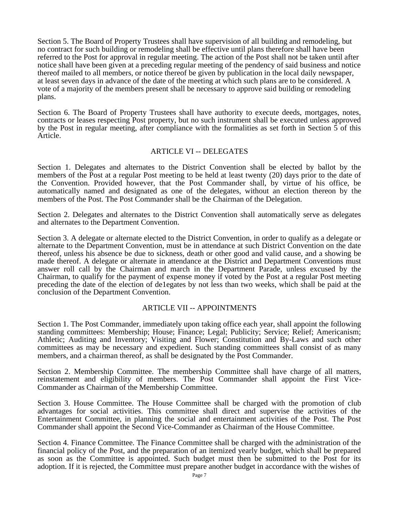Section 5. The Board of Property Trustees shall have supervision of all building and remodeling, but no contract for such building or remodeling shall be effective until plans therefore shall have been referred to the Post for approval in regular meeting. The action of the Post shall not be taken until after notice shall have been given at a preceding regular meeting of the pendency of said business and notice thereof mailed to all members, or notice thereof be given by publication in the local daily newspaper, at least seven days in advance of the date of the meeting at which such plans are to be considered. A vote of a majority of the members present shall be necessary to approve said building or remodeling plans.

Section 6. The Board of Property Trustees shall have authority to execute deeds, mortgages, notes, contracts or leases respecting Post property, but no such instrument shall be executed unless approved by the Post in regular meeting, after compliance with the formalities as set forth in Section 5 of this Article.

### ARTICLE VI -- DELEGATES

Section 1. Delegates and alternates to the District Convention shall be elected by ballot by the members of the Post at a regular Post meeting to be held at least twenty (20) days prior to the date of the Convention. Provided however, that the Post Commander shall, by virtue of his office, be automatically named and designated as one of the delegates, without an election thereon by the members of the Post. The Post Commander shall be the Chairman of the Delegation.

Section 2. Delegates and alternates to the District Convention shall automatically serve as delegates and alternates to the Department Convention.

Section 3. A delegate or alternate elected to the District Convention, in order to qualify as a delegate or alternate to the Department Convention, must be in attendance at such District Convention on the date thereof, unless his absence be due to sickness, death or other good and valid cause, and a showing be made thereof. A delegate or alternate in attendance at the District and Department Conventions must answer roll call by the Chairman and march in the Department Parade, unless excused by the Chairman, to qualify for the payment of expense money if voted by the Post at a regular Post meeting preceding the date of the election of de1egates by not less than two weeks, which shall be paid at the conclusion of the Department Convention.

# ARTICLE VII -- APPOINTMENTS

Section 1. The Post Commander, immediately upon taking office each year, shall appoint the following standing committees: Membership; House; Finance; Legal; Publicity; Service; Relief; Americanism; Athletic; Auditing and Inventory; Visiting and Flower; Constitution and By-Laws and such other committees as may be necessary and expedient. Such standing committees shall consist of as many members, and a chairman thereof, as shall be designated by the Post Commander.

Section 2. Membership Committee. The membership Committee shall have charge of all matters, reinstatement and eligibility of members. The Post Commander shall appoint the First Vice-Commander as Chairman of the Membership Committee.

Section 3. House Committee. The House Committee shall be charged with the promotion of club advantages for social activities. This committee shall direct and supervise the activities of the Entertainment Committee, in planning the social and entertainment activities of the Post. The Post Commander shall appoint the Second Vice-Commander as Chairman of the House Committee.

Section 4. Finance Committee. The Finance Committee shall be charged with the administration of the financial policy of the Post, and the preparation of an itemized yearly budget, which shall be prepared as soon as the Committee is appointed. Such budget must then be submitted to the Post for its adoption. If it is rejected, the Committee must prepare another budget in accordance with the wishes of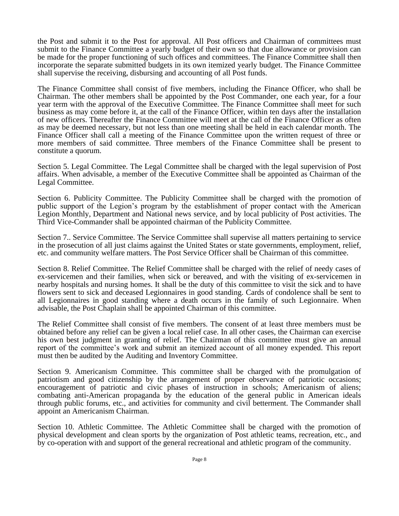the Post and submit it to the Post for approval. All Post officers and Chairman of committees must submit to the Finance Committee a yearly budget of their own so that due allowance or provision can be made for the proper functioning of such offices and committees. The Finance Committee shall then incorporate the separate submitted budgets in its own itemized yearly budget. The Finance Committee shall supervise the receiving, disbursing and accounting of all Post funds.

The Finance Committee shall consist of five members, including the Finance Officer, who shall be Chairman. The other members shall be appointed by the Post Commander, one each year, for a four year term with the approval of the Executive Committee. The Finance Committee shall meet for such business as may come before it, at the call of the Finance Officer, within ten days after the installation of new officers. Thereafter the Finance Committee will meet at the call of the Finance Officer as often as may be deemed necessary, but not less than one meeting shall be held in each calendar month. The Finance Officer shall call a meeting of the Finance Committee upon the written request of three or more members of said committee. Three members of the Finance Committee shall be present to constitute a quorum.

Section 5. Legal Committee. The Legal Committee shall be charged with the legal supervision of Post affairs. When advisable, a member of the Executive Committee shall be appointed as Chairman of the Legal Committee.

Section 6. Publicity Committee. The Publicity Committee shall be charged with the promotion of public support of the Legion's program by the establishment of proper contact with the American Legion Monthly, Department and National news service, and by local publicity of Post activities. The Third Vice-Commander shall be appointed chairman of the Publicity Committee.

Section 7.. Service Committee. The Service Committee shall supervise all matters pertaining to service in the prosecution of all just claims against the United States or state governments, employment, relief, etc. and community welfare matters. The Post Service Officer shall be Chairman of this committee.

Section 8. Relief Committee. The Relief Committee shall be charged with the relief of needy cases of ex-servicemen and their families, when sick or bereaved, and with the visiting of ex-servicemen in nearby hospitals and nursing homes. It shall be the duty of this committee to visit the sick and to have flowers sent to sick and deceased Legionnaires in good standing. Cards of condolence shall be sent to all Legionnaires in good standing where a death occurs in the family of such Legionnaire. When advisable, the Post Chaplain shall be appointed Chairman of this committee.

The Relief Committee shall consist of five members. The consent of at least three members must be obtained before any relief can be given a local relief case. In all other cases, the Chairman can exercise his own best judgment in granting of relief. The Chairman of this committee must give an annual report of the committee's work and submit an itemized account of all money expended. This report must then be audited by the Auditing and Inventory Committee.

Section 9. Americanism Committee. This committee shall be charged with the promulgation of patriotism and good citizenship by the arrangement of proper observance of patriotic occasions; encouragement of patriotic and civic phases of instruction in schools; Americanism of aliens; combating anti-American propaganda by the education of the general public in American ideals through public forums, etc., and activities for community and civil betterment. The Commander shall appoint an Americanism Chairman.

Section 10. Athletic Committee. The Athletic Committee shall be charged with the promotion of physical development and clean sports by the organization of Post athletic teams, recreation, etc., and by co-operation with and support of the general recreational and athletic program of the community.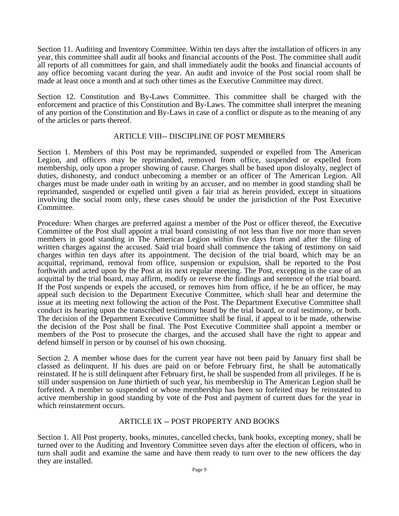Section 11. Auditing and Inventory Committee. Within ten days after the installation of officers in any year, this committee shall audit all books and financial accounts of the Post. The committee shall audit all reports of all committees for gain, and shall immediately audit the books and financial accounts of any office becoming vacant during the year. An audit and invoice of the Post social room shall be made at least once a month and at such other times as the Executive Committee may direct.

Section 12. Constitution and By-Laws Committee. This committee shall be charged with the enforcement and practice of this Constitution and By-Laws. The committee shall interpret the meaning of any portion of the Constitution and By-Laws in case of a conflict or dispute as to the meaning of any of the articles or parts thereof.

## ARTICLE VIII-- DISCIPLINE OF POST MEMBERS

Section 1. Members of this Post may be reprimanded, suspended or expelled from The American Legion, and officers may be reprimanded, removed from office, suspended or expelled from membership, only upon a proper showing of cause. Charges shall be based upon disloyalty, neglect of duties, dishonesty, and conduct unbecoming a member or an officer of The American Legion. All charges must be made under oath in writing by an accuser, and no member in good standing shall be reprimanded, suspended or expelled until given a fair trial as herein provided, except in situations involving the social room only, these cases should be under the jurisdiction of the Post Executive Committee.

Procedure: When charges are preferred against a member of the Post or officer thereof, the Executive Committee of the Post shall appoint a trial board consisting of not less than five nor more than seven members in good standing in The American Legion within five days from and after the filing of written charges against the accused. Said trial board shall commence the taking of testimony on said charges within ten days after its appointment. The decision of the trial board, which may be an acquittal, reprimand, removal from office, suspension or expulsion, shall be reported to the Post forthwith and acted upon by the Post at its next regular meeting. The Post, excepting in the case of an acquittal by the trial board, may affirm, modify or reverse the findings and sentence of the trial board. If the Post suspends or expels the accused, or removes him from office, if he be an officer, he may appeal such decision to the Department Executive Committee, which shall hear and determine the issue at its meeting next following the action of the Post. The Department Executive Committee shall conduct its hearing upon the transcribed testimony heard by the trial board, or oral testimony, or both. The decision of the Department Executive Committee shall be final, if appeal to it be made, otherwise the decision of the Post shall be final. The Post Executive Committee shall appoint a member or members of the Post to prosecute the charges, and the accused shall have the right to appear and defend himself in person or by counsel of his own choosing.

Section 2. A member whose dues for the current year have not been paid by January first shall be classed as delinquent. If his dues are paid on or before February first, he shall be automatically reinstated. If he is still delinquent after February first, he shall be suspended from all privileges. If he is still under suspension on June thirtieth of such year, his membership in The American Legion shall be forfeited. A member so suspended or whose membership has been so forfeited may be reinstated to active membership in good standing by vote of the Post and payment of current dues for the year in which reinstatement occurs.

### ARTICLE IX -- POST PROPERTY AND BOOKS

Section 1. All Post property, books, minutes, cancelled checks, bank books, excepting money, shall be turned over to the Auditing and Inventory Committee seven days after the election of officers, who in turn shall audit and examine the same and have them ready to turn over to the new officers the day they are installed.